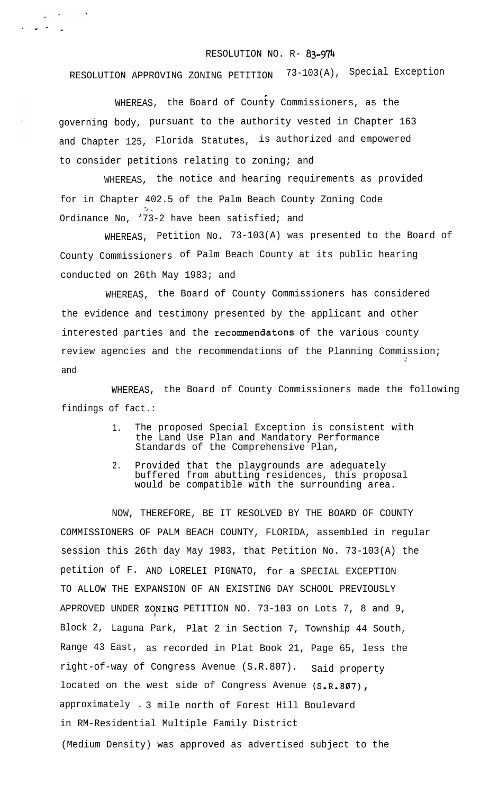## RESOLUTION NO. R- **83.974**

RESOLUTION APPROVING ZONING PETITION 73-103(A), Special Exception

c WHEREAS, the Board of County Commissioners, as the governing body, pursuant to the authority vested in Chapter 163 and Chapter 125, Florida Statutes, is authorized and empowered to consider petitions relating to zoning; and

 $\label{eq:2.1} \frac{1}{2\pi\hbar^2} \left[ \frac{1}{\hbar^2} \frac{1}{\hbar^2} \frac{1}{\hbar^2} \frac{1}{\hbar^2} \frac{1}{\hbar^2} \frac{1}{\hbar^2} \frac{1}{\hbar^2} \frac{1}{\hbar^2} \frac{1}{\hbar^2} \frac{1}{\hbar^2} \frac{1}{\hbar^2} \frac{1}{\hbar^2} \frac{1}{\hbar^2} \frac{1}{\hbar^2} \frac{1}{\hbar^2} \frac{1}{\hbar^2} \frac{1}{\hbar^2} \frac{1}{\h$ 

 $\chi^2$  , we obtain  $\chi^2$ 

WHEREAS, the notice and hearing requirements as provided for in Chapter 402.5 of the Palm Beach County Zoning Code Ordinance No, '73-2 have been satisfied; and

WHEREAS, Petition No. 73-103(A) was presented to the Board of County Commissioners of Palm Beach County at its public hearing conducted on 26th May 1983; and

WHEREAS, the Board of County Commissioners has considered the evidence and testimony presented by the applicant and other interested parties and the recommendatons of the various county review agencies and the recommendations of the Planning Commission; ;' and

WHEREAS, the Board of County Commissioners made the following findings of fact.:

- 1. The proposed Special Exception is consistent with the Land Use Plan and Mandatory Performance Standards of the Comprehensive Plan,
- 2. Provided that the playgrounds are adequately buffered from abutting residences, this proposal would be compatible with the surrounding area.

NOW, THEREFORE, BE IT RESOLVED BY THE BOARD OF COUNTY COMMISSIONERS OF PALM BEACH COUNTY, FLORIDA, assembled in regular session this 26th day May 1983, that Petition No. 73-103(A) the petition of F. AND LORELEI PIGNATO, for a SPECIAL EXCEPTION TO ALLOW THE EXPANSION OF AN EXISTING DAY SCHOOL PREVIOUSLY APPROVED UNDER ZONING PETITION NO. 73-103 on Lots 7, 8 and 9, Block 2, Laguna Park, Plat 2 in Section 7, Township 44 South, Range 43 East, as recorded in Plat Book 21, Page 65, less the right-of-way of Congress Avenue (S.R.807). Said property located on the west side of Congress Avenue  $(S.R.BØ7)$ , approximately . 3 mile north of Forest Hill Boulevard in RM-Residential Multiple Family District (Medium Density) was approved as advertised subject to the